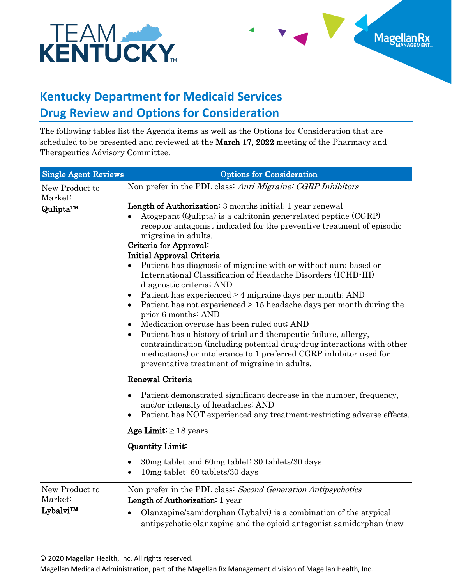

## **Kentucky Department for Medicaid Services Drug Review and Options for Consideration**

The following tables list the Agenda items as well as the Options for Consideration that are scheduled to be presented and reviewed at the March 17, 2022 meeting of the Pharmacy and Therapeutics Advisory Committee.

Magellan Rx

| <b>Single Agent Reviews</b>           | <b>Options for Consideration</b>                                                                                                                                                                                                                                                                                                                                                                                                                                                                                                                                                                                                                                                                                                                                                                                                                                                                                                                                                                                |
|---------------------------------------|-----------------------------------------------------------------------------------------------------------------------------------------------------------------------------------------------------------------------------------------------------------------------------------------------------------------------------------------------------------------------------------------------------------------------------------------------------------------------------------------------------------------------------------------------------------------------------------------------------------------------------------------------------------------------------------------------------------------------------------------------------------------------------------------------------------------------------------------------------------------------------------------------------------------------------------------------------------------------------------------------------------------|
| New Product to                        | Non-prefer in the PDL class: Anti-Migraine: CGRP Inhibitors                                                                                                                                                                                                                                                                                                                                                                                                                                                                                                                                                                                                                                                                                                                                                                                                                                                                                                                                                     |
| Market:<br>Qulipta™                   | Length of Authorization: 3 months initial; 1 year renewal<br>Atogepant (Qulipta) is a calcitonin gene-related peptide (CGRP)<br>$\bullet$<br>receptor antagonist indicated for the preventive treatment of episodic<br>migraine in adults.<br>Criteria for Approval:<br><b>Initial Approval Criteria</b><br>Patient has diagnosis of migraine with or without aura based on<br>$\bullet$<br>International Classification of Headache Disorders (ICHD-III)<br>diagnostic criteria; AND<br>Patient has experienced $\geq 4$ migraine days per month; AND<br>$\bullet$<br>Patient has not experienced > 15 headache days per month during the<br>$\bullet$<br>prior 6 months; AND<br>Medication overuse has been ruled out; AND<br>Patient has a history of trial and therapeutic failure, allergy,<br>$\bullet$<br>contraindication (including potential drug-drug interactions with other<br>medications) or intolerance to 1 preferred CGRP inhibitor used for<br>preventative treatment of migraine in adults. |
|                                       | Renewal Criteria                                                                                                                                                                                                                                                                                                                                                                                                                                                                                                                                                                                                                                                                                                                                                                                                                                                                                                                                                                                                |
|                                       | Patient demonstrated significant decrease in the number, frequency,<br>$\bullet$<br>and/or intensity of headaches; AND<br>Patient has NOT experienced any treatment restricting adverse effects.<br>$\bullet$                                                                                                                                                                                                                                                                                                                                                                                                                                                                                                                                                                                                                                                                                                                                                                                                   |
|                                       | Age Limit: $\geq 18$ years                                                                                                                                                                                                                                                                                                                                                                                                                                                                                                                                                                                                                                                                                                                                                                                                                                                                                                                                                                                      |
|                                       | <b>Quantity Limit:</b>                                                                                                                                                                                                                                                                                                                                                                                                                                                                                                                                                                                                                                                                                                                                                                                                                                                                                                                                                                                          |
|                                       | 30 mg tablet and 60 mg tablet: 30 tablets / 30 days<br>$\bullet$<br>10mg tablet: 60 tablets/30 days<br>$\bullet$                                                                                                                                                                                                                                                                                                                                                                                                                                                                                                                                                                                                                                                                                                                                                                                                                                                                                                |
| New Product to<br>Market:<br>Lybalvi™ | Non-prefer in the PDL class: Second-Generation Antipsychotics<br>Length of Authorization: 1 year<br>Olanzapine/samidorphan (Lybalvi) is a combination of the atypical<br>antipsychotic olanzapine and the opioid antagonist samidorphan (new                                                                                                                                                                                                                                                                                                                                                                                                                                                                                                                                                                                                                                                                                                                                                                    |

© 2020 Magellan Health, Inc. All rights reserved.

Magellan Medicaid Administration, part of the Magellan Rx Management division of Magellan Health, Inc.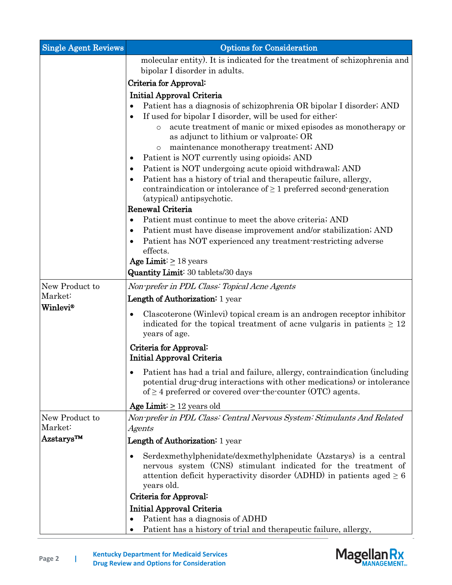| <b>Single Agent Reviews</b>                        | <b>Options for Consideration</b>                                                                                                                                                                                                                                                                                                                                                                                                                                                                                                                                                                                                                                                                                                                                                                                                                                           |
|----------------------------------------------------|----------------------------------------------------------------------------------------------------------------------------------------------------------------------------------------------------------------------------------------------------------------------------------------------------------------------------------------------------------------------------------------------------------------------------------------------------------------------------------------------------------------------------------------------------------------------------------------------------------------------------------------------------------------------------------------------------------------------------------------------------------------------------------------------------------------------------------------------------------------------------|
|                                                    | molecular entity). It is indicated for the treatment of schizophrenia and<br>bipolar I disorder in adults.                                                                                                                                                                                                                                                                                                                                                                                                                                                                                                                                                                                                                                                                                                                                                                 |
|                                                    | Criteria for Approval:                                                                                                                                                                                                                                                                                                                                                                                                                                                                                                                                                                                                                                                                                                                                                                                                                                                     |
|                                                    | Initial Approval Criteria<br>Patient has a diagnosis of schizophrenia OR bipolar I disorder; AND<br>If used for bipolar I disorder, will be used for either:<br>acute treatment of manic or mixed episodes as monotherapy or<br>$\circ$<br>as adjunct to lithium or valproate; OR<br>maintenance monotherapy treatment; AND<br>$\circ$<br>Patient is NOT currently using opioids; AND<br>٠<br>Patient is NOT undergoing acute opioid withdrawal; AND<br>Patient has a history of trial and therapeutic failure, allergy,<br>contraindication or intolerance of $\geq 1$ preferred second-generation<br>(atypical) antipsychotic.<br>Renewal Criteria<br>Patient must continue to meet the above criteria; AND<br>$\bullet$<br>Patient must have disease improvement and/or stabilization; AND<br>Patient has NOT experienced any treatment-restricting adverse<br>effects. |
|                                                    | Age Limit: $\geq$ 18 years<br><b>Quantity Limit:</b> 30 tablets/30 days                                                                                                                                                                                                                                                                                                                                                                                                                                                                                                                                                                                                                                                                                                                                                                                                    |
| New Product to<br>Market:                          | Non-prefer in PDL Class: Topical Acne Agents<br>Length of Authorization: 1 year                                                                                                                                                                                                                                                                                                                                                                                                                                                                                                                                                                                                                                                                                                                                                                                            |
| <b>Winlevi®</b>                                    | Clascoterone (Winlevi) topical cream is an androgen receptor inhibitor<br>$\bullet$<br>indicated for the topical treatment of acne vulgaris in patients $\geq 12$<br>years of age.                                                                                                                                                                                                                                                                                                                                                                                                                                                                                                                                                                                                                                                                                         |
|                                                    | Criteria for Approval:<br>Initial Approval Criteria                                                                                                                                                                                                                                                                                                                                                                                                                                                                                                                                                                                                                                                                                                                                                                                                                        |
|                                                    | Patient has had a trial and failure, allergy, contraindication (including<br>potential drug-drug interactions with other medications) or intolerance<br>of $\geq$ 4 preferred or covered over the counter (OTC) agents.                                                                                                                                                                                                                                                                                                                                                                                                                                                                                                                                                                                                                                                    |
|                                                    | Age Limit: $\geq 12$ years old                                                                                                                                                                                                                                                                                                                                                                                                                                                                                                                                                                                                                                                                                                                                                                                                                                             |
| New Product to<br>Market:<br>Azstarys <sup>™</sup> | Non-prefer in PDL Class: Central Nervous System: Stimulants And Related<br>Agents<br>Length of Authorization: 1 year                                                                                                                                                                                                                                                                                                                                                                                                                                                                                                                                                                                                                                                                                                                                                       |
|                                                    | Serdexmethylphenidate/dexmethylphenidate (Azstarys) is a central<br>$\bullet$<br>nervous system (CNS) stimulant indicated for the treatment of<br>attention deficit hyperactivity disorder (ADHD) in patients aged $\geq 6$<br>years old.                                                                                                                                                                                                                                                                                                                                                                                                                                                                                                                                                                                                                                  |
|                                                    | Criteria for Approval:<br>Initial Approval Criteria                                                                                                                                                                                                                                                                                                                                                                                                                                                                                                                                                                                                                                                                                                                                                                                                                        |
|                                                    | Patient has a diagnosis of ADHD<br>Patient has a history of trial and therapeutic failure, allergy,                                                                                                                                                                                                                                                                                                                                                                                                                                                                                                                                                                                                                                                                                                                                                                        |

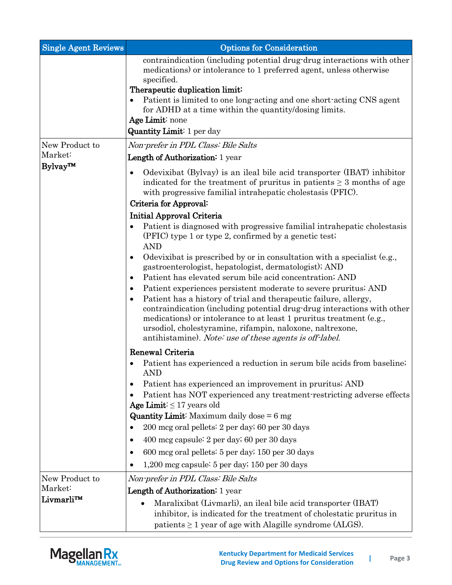| <b>Single Agent Reviews</b> | <b>Options for Consideration</b>                                                                                                                                                                                                                                                                                                                                                      |
|-----------------------------|---------------------------------------------------------------------------------------------------------------------------------------------------------------------------------------------------------------------------------------------------------------------------------------------------------------------------------------------------------------------------------------|
|                             | contraindication (including potential drug-drug interactions with other<br>medications) or intolerance to 1 preferred agent, unless otherwise<br>specified.<br>Therapeutic duplication limit:<br>Patient is limited to one long-acting and one short-acting CNS agent<br>for ADHD at a time within the quantity/dosing limits.<br>Age Limit: none<br><b>Quantity Limit:</b> 1 per day |
| New Product to              | Non-prefer in PDL Class: Bile Salts                                                                                                                                                                                                                                                                                                                                                   |
| Market:                     | Length of Authorization: 1 year                                                                                                                                                                                                                                                                                                                                                       |
| Bylvay™                     | Odevixibat (Bylvay) is an ileal bile acid transporter (IBAT) inhibitor<br>٠<br>indicated for the treatment of pruritus in patients $\geq 3$ months of age<br>with progressive familial intrahepatic cholestasis (PFIC).                                                                                                                                                               |
|                             | Criteria for Approval:                                                                                                                                                                                                                                                                                                                                                                |
|                             | Initial Approval Criteria<br>Patient is diagnosed with progressive familial intrahepatic cholestasis<br>$\bullet$<br>(PFIC) type 1 or type 2, confirmed by a genetic test.<br><b>AND</b>                                                                                                                                                                                              |
|                             | Odevixibat is prescribed by or in consultation with a specialist (e.g.,<br>$\bullet$<br>gastroenterologist, hepatologist, dermatologist); AND<br>Patient has elevated serum bile acid concentration; AND                                                                                                                                                                              |
|                             | $\bullet$<br>Patient experiences persistent moderate to severe pruritus; AND<br>٠                                                                                                                                                                                                                                                                                                     |
|                             | Patient has a history of trial and therapeutic failure, allergy,<br>$\bullet$<br>contraindication (including potential drug-drug interactions with other<br>medications) or intolerance to at least 1 pruritus treatment (e.g.,<br>ursodiol, cholestyramine, rifampin, naloxone, naltrexone,<br>antihistamine). Note use of these agents is off-label.                                |
|                             | Renewal Criteria                                                                                                                                                                                                                                                                                                                                                                      |
|                             | Patient has experienced a reduction in serum bile acids from baseline;<br>AND                                                                                                                                                                                                                                                                                                         |
|                             | Patient has experienced an improvement in pruritus; AND<br>٠<br>Patient has NOT experienced any treatment restricting adverse effects<br>Age Limit: $\leq 17$ years old                                                                                                                                                                                                               |
|                             | <b>Quantity Limit:</b> Maximum daily dose $= 6$ mg                                                                                                                                                                                                                                                                                                                                    |
|                             | 200 mcg oral pellets: 2 per day; 60 per 30 days<br>$\bullet$                                                                                                                                                                                                                                                                                                                          |
|                             | 400 mcg capsule: 2 per day; 60 per 30 days<br>$\bullet$                                                                                                                                                                                                                                                                                                                               |
|                             | 600 mcg oral pellets: 5 per day; 150 per 30 days<br>٠                                                                                                                                                                                                                                                                                                                                 |
|                             | $1,200$ mcg capsule: 5 per day; 150 per 30 days<br>٠                                                                                                                                                                                                                                                                                                                                  |
| New Product to              | Non-prefer in PDL Class: Bile Salts                                                                                                                                                                                                                                                                                                                                                   |
| Market:                     | Length of Authorization: 1 year                                                                                                                                                                                                                                                                                                                                                       |
| Livmarli™                   | Maralixibat (Livmarli), an ileal bile acid transporter (IBAT)<br>$\bullet$<br>inhibitor, is indicated for the treatment of cholestatic pruritus in<br>patients $\geq 1$ year of age with Alagille syndrome (ALGS).                                                                                                                                                                    |

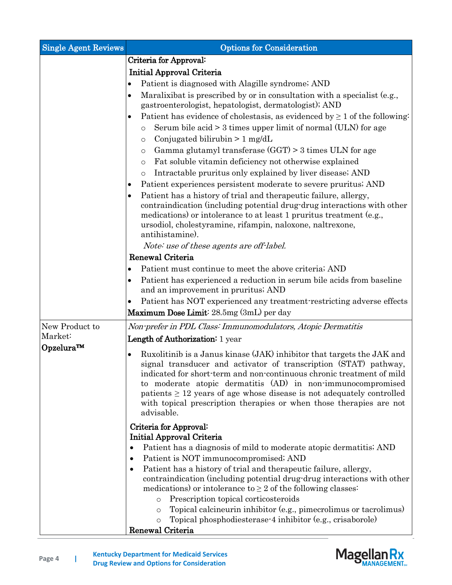| <b>Single Agent Reviews</b> | <b>Options for Consideration</b>                                                                                                                                                                                                                                                                                                                                                                                                                      |
|-----------------------------|-------------------------------------------------------------------------------------------------------------------------------------------------------------------------------------------------------------------------------------------------------------------------------------------------------------------------------------------------------------------------------------------------------------------------------------------------------|
|                             | Criteria for Approval:                                                                                                                                                                                                                                                                                                                                                                                                                                |
|                             | Initial Approval Criteria                                                                                                                                                                                                                                                                                                                                                                                                                             |
|                             | Patient is diagnosed with Alagille syndrome; AND                                                                                                                                                                                                                                                                                                                                                                                                      |
|                             | Maralixibat is prescribed by or in consultation with a specialist (e.g.,<br>gastroenterologist, hepatologist, dermatologist); AND<br>Patient has evidence of cholestasis, as evidenced by $\geq 1$ of the following:<br>Serum bile acid $>$ 3 times upper limit of normal (ULN) for age                                                                                                                                                               |
|                             | $\circ$<br>Conjugated bilirubin $> 1$ mg/dL<br>O                                                                                                                                                                                                                                                                                                                                                                                                      |
|                             | Gamma glutamyl transferase $(GGT) > 3$ times ULN for age<br>O                                                                                                                                                                                                                                                                                                                                                                                         |
|                             | Fat soluble vitamin deficiency not otherwise explained<br>O                                                                                                                                                                                                                                                                                                                                                                                           |
|                             | Intractable pruritus only explained by liver disease; AND<br>$\circ$                                                                                                                                                                                                                                                                                                                                                                                  |
|                             | Patient experiences persistent moderate to severe pruritus; AND<br>٠                                                                                                                                                                                                                                                                                                                                                                                  |
|                             | Patient has a history of trial and therapeutic failure, allergy,<br>contraindication (including potential drug-drug interactions with other<br>medications) or intolerance to at least 1 pruritus treatment (e.g.,<br>ursodiol, cholestyramine, rifampin, naloxone, naltrexone,<br>antihistamine).                                                                                                                                                    |
|                             | Note: use of these agents are off-label.                                                                                                                                                                                                                                                                                                                                                                                                              |
|                             | Renewal Criteria                                                                                                                                                                                                                                                                                                                                                                                                                                      |
|                             | Patient must continue to meet the above criteria; AND                                                                                                                                                                                                                                                                                                                                                                                                 |
|                             | Patient has experienced a reduction in serum bile acids from baseline<br>and an improvement in pruritus; AND                                                                                                                                                                                                                                                                                                                                          |
|                             | Patient has NOT experienced any treatment restricting adverse effects                                                                                                                                                                                                                                                                                                                                                                                 |
|                             | Maximum Dose Limit: 28.5mg (3mL) per day                                                                                                                                                                                                                                                                                                                                                                                                              |
| New Product to              | Non-prefer in PDL Class: Immunomodulators, Atopic Dermatitis                                                                                                                                                                                                                                                                                                                                                                                          |
| Market:                     | Length of Authorization: 1 year                                                                                                                                                                                                                                                                                                                                                                                                                       |
| Opzelura™                   | Ruxolitinib is a Janus kinase (JAK) inhibitor that targets the JAK and<br>signal transducer and activator of transcription (STAT) pathway,<br>indicated for short-term and non-continuous chronic treatment of mild<br>to moderate atopic dermatitis (AD) in non-immunocompromised<br>patients $\geq 12$ years of age whose disease is not adequately controlled<br>with topical prescription therapies or when those therapies are not<br>advisable. |
|                             | Criteria for Approval:                                                                                                                                                                                                                                                                                                                                                                                                                                |
|                             | Initial Approval Criteria                                                                                                                                                                                                                                                                                                                                                                                                                             |
|                             | Patient has a diagnosis of mild to moderate atopic dermatitis; AND                                                                                                                                                                                                                                                                                                                                                                                    |
|                             | Patient is NOT immunocompromised; AND<br>٠                                                                                                                                                                                                                                                                                                                                                                                                            |
|                             | Patient has a history of trial and therapeutic failure, allergy,<br>$\bullet$<br>contraindication (including potential drug-drug interactions with other<br>medications) or intolerance to $\geq 2$ of the following classes:                                                                                                                                                                                                                         |
|                             | Prescription topical corticosteroids<br>$\circ$                                                                                                                                                                                                                                                                                                                                                                                                       |
|                             | Topical calcineurin inhibitor (e.g., pimecrolimus or tacrolimus)<br>$\circ$                                                                                                                                                                                                                                                                                                                                                                           |
|                             | Topical phosphodiesterase 4 inhibitor (e.g., crisaborole)<br>$\circ$                                                                                                                                                                                                                                                                                                                                                                                  |
|                             | Renewal Criteria                                                                                                                                                                                                                                                                                                                                                                                                                                      |

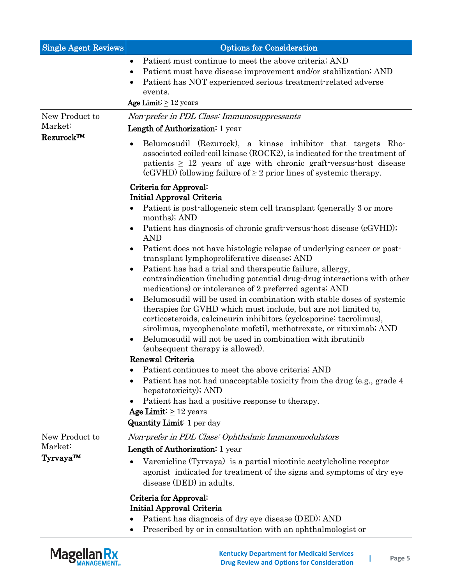| <b>Single Agent Reviews</b>           | <b>Options for Consideration</b>                                                                                                                                                                                                                                                                                                                                            |
|---------------------------------------|-----------------------------------------------------------------------------------------------------------------------------------------------------------------------------------------------------------------------------------------------------------------------------------------------------------------------------------------------------------------------------|
|                                       | Patient must continue to meet the above criteria; AND<br>$\bullet$<br>Patient must have disease improvement and/or stabilization; AND<br>$\bullet$<br>Patient has NOT experienced serious treatment-related adverse<br>$\bullet$<br>events.<br>Age Limit: $\geq 12$ years                                                                                                   |
| New Product to                        | Non-prefer in PDL Class: Immunosuppressants                                                                                                                                                                                                                                                                                                                                 |
| Market:                               | Length of Authorization: 1 year                                                                                                                                                                                                                                                                                                                                             |
| Rezurock™                             | Belumosudil (Rezurock), a kinase inhibitor that targets Rho-<br>$\bullet$<br>associated coiled-coil kinase (ROCK2), is indicated for the treatment of<br>patients $\geq 12$ years of age with chronic graft-versus-host disease<br>(cGVHD) following failure of $\geq 2$ prior lines of systemic therapy.                                                                   |
|                                       | Criteria for Approval:                                                                                                                                                                                                                                                                                                                                                      |
|                                       | Initial Approval Criteria                                                                                                                                                                                                                                                                                                                                                   |
|                                       | Patient is post-allogeneic stem cell transplant (generally 3 or more<br>$\bullet$<br>months); AND                                                                                                                                                                                                                                                                           |
|                                       | Patient has diagnosis of chronic graft-versus-host disease (cGVHD);<br><b>AND</b>                                                                                                                                                                                                                                                                                           |
|                                       | Patient does not have histologic relapse of underlying cancer or post-<br>$\bullet$<br>transplant lymphoproliferative disease; AND                                                                                                                                                                                                                                          |
|                                       | Patient has had a trial and therapeutic failure, allergy,<br>$\bullet$<br>contraindication (including potential drug-drug interactions with other<br>medications) or intolerance of 2 preferred agents; AND                                                                                                                                                                 |
|                                       | Belumosudil will be used in combination with stable doses of systemic<br>$\bullet$<br>therapies for GVHD which must include, but are not limited to,<br>corticosteroids, calcineurin inhibitors (cyclosporine; tacrolimus),<br>sirolimus, mycophenolate mofetil, methotrexate, or rituximab; AND<br>Belumosudil will not be used in combination with ibrutinib<br>$\bullet$ |
|                                       | (subsequent therapy is allowed).                                                                                                                                                                                                                                                                                                                                            |
|                                       | Renewal Criteria<br>Patient continues to meet the above criteria; AND                                                                                                                                                                                                                                                                                                       |
|                                       | Patient has not had unacceptable toxicity from the drug (e.g., grade 4<br>$\bullet$<br>hepatotoxicity); AND                                                                                                                                                                                                                                                                 |
|                                       | Patient has had a positive response to therapy.                                                                                                                                                                                                                                                                                                                             |
|                                       | Age Limit: $\geq 12$ years                                                                                                                                                                                                                                                                                                                                                  |
|                                       | <b>Quantity Limit:</b> 1 per day                                                                                                                                                                                                                                                                                                                                            |
| New Product to<br>Market:<br>Tyrvaya™ | Non-prefer in PDL Class: Ophthalmic Immunomodulators                                                                                                                                                                                                                                                                                                                        |
|                                       | Length of Authorization: 1 year                                                                                                                                                                                                                                                                                                                                             |
|                                       | Varenicline (Tyrvaya) is a partial nicotinic acetylcholine receptor<br>$\bullet$<br>agonist indicated for treatment of the signs and symptoms of dry eye<br>disease (DED) in adults.                                                                                                                                                                                        |
|                                       | Criteria for Approval:                                                                                                                                                                                                                                                                                                                                                      |
|                                       | Initial Approval Criteria                                                                                                                                                                                                                                                                                                                                                   |
|                                       | Patient has diagnosis of dry eye disease (DED); AND<br>$\bullet$                                                                                                                                                                                                                                                                                                            |
|                                       | Prescribed by or in consultation with an ophthalmologist or                                                                                                                                                                                                                                                                                                                 |

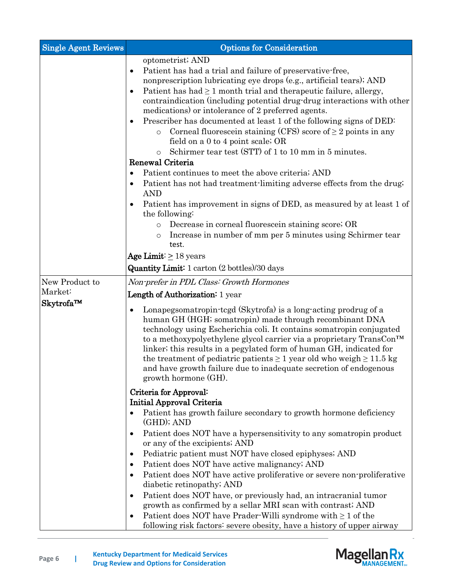| <b>Single Agent Reviews</b> | <b>Options for Consideration</b>                                                                                                                                                                                                                                                                                                                                                                                                                                                                                                                                                                                                                  |
|-----------------------------|---------------------------------------------------------------------------------------------------------------------------------------------------------------------------------------------------------------------------------------------------------------------------------------------------------------------------------------------------------------------------------------------------------------------------------------------------------------------------------------------------------------------------------------------------------------------------------------------------------------------------------------------------|
|                             | optometrist; AND<br>Patient has had a trial and failure of preservative-free,<br>٠<br>nonprescription lubricating eye drops (e.g., artificial tears); AND<br>Patient has had $\geq 1$ month trial and therapeutic failure, allergy,<br>$\bullet$<br>contraindication (including potential drug-drug interactions with other<br>medications) or intolerance of 2 preferred agents.<br>Prescriber has documented at least 1 of the following signs of DED:<br>Corneal fluorescein staining (CFS) score of $\geq 2$ points in any<br>$\circ$<br>field on a 0 to 4 point scale; OR<br>Schirmer tear test (STT) of 1 to 10 mm in 5 minutes.<br>$\circ$ |
|                             | Renewal Criteria                                                                                                                                                                                                                                                                                                                                                                                                                                                                                                                                                                                                                                  |
|                             | Patient continues to meet the above criteria; AND<br>$\bullet$                                                                                                                                                                                                                                                                                                                                                                                                                                                                                                                                                                                    |
|                             | Patient has not had treatment-limiting adverse effects from the drug;<br><b>AND</b>                                                                                                                                                                                                                                                                                                                                                                                                                                                                                                                                                               |
|                             | Patient has improvement in signs of DED, as measured by at least 1 of<br>the following:                                                                                                                                                                                                                                                                                                                                                                                                                                                                                                                                                           |
|                             | Decrease in corneal fluorescein staining score; OR<br>$\circ$<br>Increase in number of mm per 5 minutes using Schirmer tear<br>$\circ$<br>test.                                                                                                                                                                                                                                                                                                                                                                                                                                                                                                   |
|                             | Age Limit: $\geq 18$ years                                                                                                                                                                                                                                                                                                                                                                                                                                                                                                                                                                                                                        |
|                             | <b>Quantity Limit:</b> 1 carton (2 bottles)/30 days                                                                                                                                                                                                                                                                                                                                                                                                                                                                                                                                                                                               |
| New Product to              | Non-prefer in PDL Class: Growth Hormones                                                                                                                                                                                                                                                                                                                                                                                                                                                                                                                                                                                                          |
| Market:<br>Skytrofa™        | Length of Authorization: 1 year                                                                                                                                                                                                                                                                                                                                                                                                                                                                                                                                                                                                                   |
|                             | Lonapegsomatropin-tcgd (Skytrofa) is a long-acting prodrug of a<br>human GH (HGH; somatropin) made through recombinant DNA<br>technology using Escherichia coli. It contains somatropin conjugated<br>to a methoxypolyethylene glycol carrier via a proprietary TransCon™<br>linker; this results in a pegylated form of human GH, indicated for<br>the treatment of pediatric patients $\geq 1$ year old who weigh $\geq 11.5$ kg<br>and have growth failure due to inadequate secretion of endogenous<br>growth hormone (GH).                                                                                                                   |
|                             | Criteria for Approval:                                                                                                                                                                                                                                                                                                                                                                                                                                                                                                                                                                                                                            |
|                             | Initial Approval Criteria                                                                                                                                                                                                                                                                                                                                                                                                                                                                                                                                                                                                                         |
|                             | Patient has growth failure secondary to growth hormone deficiency<br>(GHD); AND                                                                                                                                                                                                                                                                                                                                                                                                                                                                                                                                                                   |
|                             | Patient does NOT have a hypersensitivity to any somatropin product<br>$\bullet$<br>or any of the excipients; AND                                                                                                                                                                                                                                                                                                                                                                                                                                                                                                                                  |
|                             | Pediatric patient must NOT have closed epiphyses; AND<br>٠                                                                                                                                                                                                                                                                                                                                                                                                                                                                                                                                                                                        |
|                             | Patient does NOT have active malignancy; AND                                                                                                                                                                                                                                                                                                                                                                                                                                                                                                                                                                                                      |
|                             | Patient does NOT have active proliferative or severe non-proliferative<br>diabetic retinopathy; AND                                                                                                                                                                                                                                                                                                                                                                                                                                                                                                                                               |
|                             | Patient does NOT have, or previously had, an intracranial tumor<br>$\bullet$                                                                                                                                                                                                                                                                                                                                                                                                                                                                                                                                                                      |
|                             | growth as confirmed by a sellar MRI scan with contrast; AND                                                                                                                                                                                                                                                                                                                                                                                                                                                                                                                                                                                       |
|                             | Patient does NOT have Prader-Willi syndrome with $\geq 1$ of the<br>$\bullet$<br>following risk factors: severe obesity, have a history of upper airway                                                                                                                                                                                                                                                                                                                                                                                                                                                                                           |

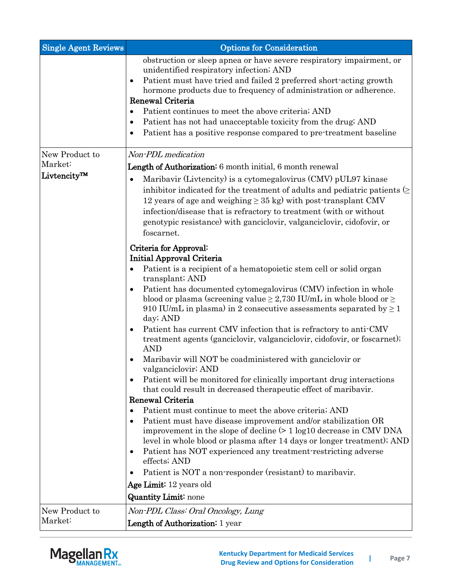| <b>Single Agent Reviews</b> | <b>Options for Consideration</b>                                                                                                                                                                                                                                                                                                                                                                                                                                                                                                                                                                                                                                                                                                                                                                                                                                                                                                                                                                                                                                                                                                                                                                                                                                               |
|-----------------------------|--------------------------------------------------------------------------------------------------------------------------------------------------------------------------------------------------------------------------------------------------------------------------------------------------------------------------------------------------------------------------------------------------------------------------------------------------------------------------------------------------------------------------------------------------------------------------------------------------------------------------------------------------------------------------------------------------------------------------------------------------------------------------------------------------------------------------------------------------------------------------------------------------------------------------------------------------------------------------------------------------------------------------------------------------------------------------------------------------------------------------------------------------------------------------------------------------------------------------------------------------------------------------------|
|                             | obstruction or sleep apnea or have severe respiratory impairment, or<br>unidentified respiratory infection; AND<br>Patient must have tried and failed 2 preferred short-acting growth<br>$\bullet$<br>hormone products due to frequency of administration or adherence.<br>Renewal Criteria<br>Patient continues to meet the above criteria; AND<br>٠<br>Patient has not had unacceptable toxicity from the drug; AND<br>$\bullet$<br>Patient has a positive response compared to pre-treatment baseline<br>$\bullet$                                                                                                                                                                                                                                                                                                                                                                                                                                                                                                                                                                                                                                                                                                                                                          |
| New Product to              | Non-PDL medication                                                                                                                                                                                                                                                                                                                                                                                                                                                                                                                                                                                                                                                                                                                                                                                                                                                                                                                                                                                                                                                                                                                                                                                                                                                             |
| Market:                     | Length of Authorization: 6 month initial, 6 month renewal                                                                                                                                                                                                                                                                                                                                                                                                                                                                                                                                                                                                                                                                                                                                                                                                                                                                                                                                                                                                                                                                                                                                                                                                                      |
| Livtencity™                 | Maribavir (Livtencity) is a cytomegalovirus (CMV) pUL97 kinase<br>$\bullet$<br>inhibitor indicated for the treatment of adults and pediatric patients $\odot$<br>12 years of age and weighing $\geq$ 35 kg) with post-transplant CMV<br>infection/disease that is refractory to treatment (with or without<br>genotypic resistance) with ganciclovir, valganciclovir, cidofovir, or<br>foscarnet.                                                                                                                                                                                                                                                                                                                                                                                                                                                                                                                                                                                                                                                                                                                                                                                                                                                                              |
|                             | Criteria for Approval:                                                                                                                                                                                                                                                                                                                                                                                                                                                                                                                                                                                                                                                                                                                                                                                                                                                                                                                                                                                                                                                                                                                                                                                                                                                         |
|                             | Initial Approval Criteria<br>Patient is a recipient of a hematopoietic stem cell or solid organ<br>$\bullet$<br>transplant; AND<br>Patient has documented cytomegalovirus (CMV) infection in whole<br>$\bullet$<br>blood or plasma (screening value $\geq 2,730$ IU/mL in whole blood or $\geq$<br>910 IU/mL in plasma) in 2 consecutive assessments separated by $\geq 1$<br>day; AND<br>Patient has current CMV infection that is refractory to anti-CMV<br>$\bullet$<br>treatment agents (ganciclovir, valganciclovir, cidofovir, or foscarnet);<br><b>AND</b><br>Maribavir will NOT be coadministered with ganciclovir or<br>valganciclovir; AND<br>Patient will be monitored for clinically important drug interactions<br>$\bullet$<br>that could result in decreased therapeutic effect of maribavir.<br>Renewal Criteria<br>Patient must continue to meet the above criteria; AND<br>$\bullet$<br>Patient must have disease improvement and/or stabilization OR<br>improvement in the slope of decline (> 1 log10 decrease in CMV DNA<br>level in whole blood or plasma after 14 days or longer treatment); AND<br>Patient has NOT experienced any treatment restricting adverse<br>٠<br>effects; AND<br>Patient is NOT a non-responder (resistant) to maribavir.<br>٠ |
|                             | Age Limit: 12 years old                                                                                                                                                                                                                                                                                                                                                                                                                                                                                                                                                                                                                                                                                                                                                                                                                                                                                                                                                                                                                                                                                                                                                                                                                                                        |
|                             | <b>Quantity Limit: none</b>                                                                                                                                                                                                                                                                                                                                                                                                                                                                                                                                                                                                                                                                                                                                                                                                                                                                                                                                                                                                                                                                                                                                                                                                                                                    |
| New Product to              | Non-PDL Class: Oral Oncology, Lung                                                                                                                                                                                                                                                                                                                                                                                                                                                                                                                                                                                                                                                                                                                                                                                                                                                                                                                                                                                                                                                                                                                                                                                                                                             |
| Market:                     | Length of Authorization: 1 year                                                                                                                                                                                                                                                                                                                                                                                                                                                                                                                                                                                                                                                                                                                                                                                                                                                                                                                                                                                                                                                                                                                                                                                                                                                |

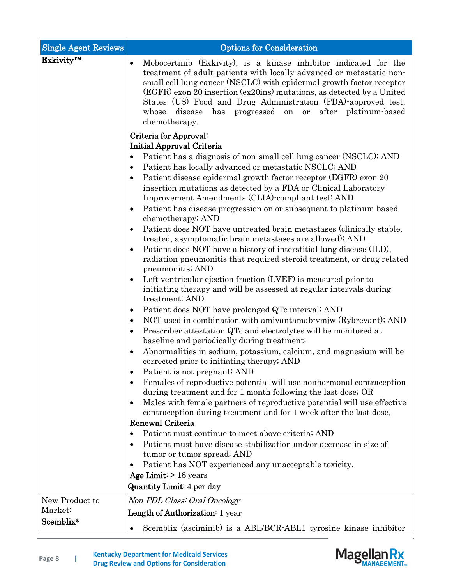| <b>Single Agent Reviews</b> | <b>Options for Consideration</b>                                                                                                                                                                                                                                                                                                                                                                                                                                |
|-----------------------------|-----------------------------------------------------------------------------------------------------------------------------------------------------------------------------------------------------------------------------------------------------------------------------------------------------------------------------------------------------------------------------------------------------------------------------------------------------------------|
| Exkivity™                   | Mobocertinib (Exkivity), is a kinase inhibitor indicated for the<br>$\bullet$<br>treatment of adult patients with locally advanced or metastatic non-<br>small cell lung cancer (NSCLC) with epidermal growth factor receptor<br>(EGFR) exon 20 insertion (ex20ins) mutations, as detected by a United<br>States (US) Food and Drug Administration (FDA)-approved test,<br>whose<br>disease<br>progressed on<br>or after platinum-based<br>has<br>chemotherapy. |
|                             | Criteria for Approval:                                                                                                                                                                                                                                                                                                                                                                                                                                          |
|                             | Initial Approval Criteria                                                                                                                                                                                                                                                                                                                                                                                                                                       |
|                             | Patient has a diagnosis of non-small cell lung cancer (NSCLC); AND<br>$\bullet$<br>Patient has locally advanced or metastatic NSCLC; AND<br>$\bullet$<br>Patient disease epidermal growth factor receptor (EGFR) exon 20<br>$\bullet$<br>insertion mutations as detected by a FDA or Clinical Laboratory                                                                                                                                                        |
|                             | Improvement Amendments (CLIA)-compliant test; AND                                                                                                                                                                                                                                                                                                                                                                                                               |
|                             | Patient has disease progression on or subsequent to platinum based<br>$\bullet$<br>chemotherapy; AND                                                                                                                                                                                                                                                                                                                                                            |
|                             | Patient does NOT have untreated brain metastases (clinically stable,<br>$\bullet$<br>treated, asymptomatic brain metastases are allowed); AND                                                                                                                                                                                                                                                                                                                   |
|                             | Patient does NOT have a history of interstitial lung disease (ILD),<br>$\bullet$<br>radiation pneumonitis that required steroid treatment, or drug related<br>pneumonitis; AND                                                                                                                                                                                                                                                                                  |
|                             | Left ventricular ejection fraction (LVEF) is measured prior to<br>initiating therapy and will be assessed at regular intervals during<br>treatment; AND                                                                                                                                                                                                                                                                                                         |
|                             | Patient does NOT have prolonged QTc interval; AND<br>$\bullet$                                                                                                                                                                                                                                                                                                                                                                                                  |
|                             | NOT used in combination with amivantamab vmjw (Rybrevant); AND<br>$\bullet$<br>Prescriber attestation QTc and electrolytes will be monitored at<br>$\bullet$<br>baseline and periodically during treatment;                                                                                                                                                                                                                                                     |
|                             | Abnormalities in sodium, potassium, calcium, and magnesium will be<br>$\bullet$<br>corrected prior to initiating therapy; AND                                                                                                                                                                                                                                                                                                                                   |
|                             | Patient is not pregnant; AND<br>Females of reproductive potential will use nonhormonal contraception<br>$\bullet$                                                                                                                                                                                                                                                                                                                                               |
|                             | during treatment and for 1 month following the last dose; OR                                                                                                                                                                                                                                                                                                                                                                                                    |
|                             | Males with female partners of reproductive potential will use effective<br>$\bullet$<br>contraception during treatment and for 1 week after the last dose.                                                                                                                                                                                                                                                                                                      |
|                             | Renewal Criteria<br>Patient must continue to meet above criteria; AND<br>$\bullet$                                                                                                                                                                                                                                                                                                                                                                              |
|                             | Patient must have disease stabilization and/or decrease in size of<br>٠                                                                                                                                                                                                                                                                                                                                                                                         |
|                             | tumor or tumor spread; AND<br>Patient has NOT experienced any unacceptable toxicity.<br>$\bullet$                                                                                                                                                                                                                                                                                                                                                               |
|                             | Age Limit: $\geq$ 18 years                                                                                                                                                                                                                                                                                                                                                                                                                                      |
|                             | <b>Quantity Limit:</b> 4 per day                                                                                                                                                                                                                                                                                                                                                                                                                                |
| New Product to              | Non-PDL Class: Oral Oncology                                                                                                                                                                                                                                                                                                                                                                                                                                    |
| Market:                     | Length of Authorization: 1 year                                                                                                                                                                                                                                                                                                                                                                                                                                 |
| <b>Scemblix®</b>            | Scemblix (asciminib) is a ABL/BCR-ABL1 tyrosine kinase inhibitor<br>$\bullet$                                                                                                                                                                                                                                                                                                                                                                                   |

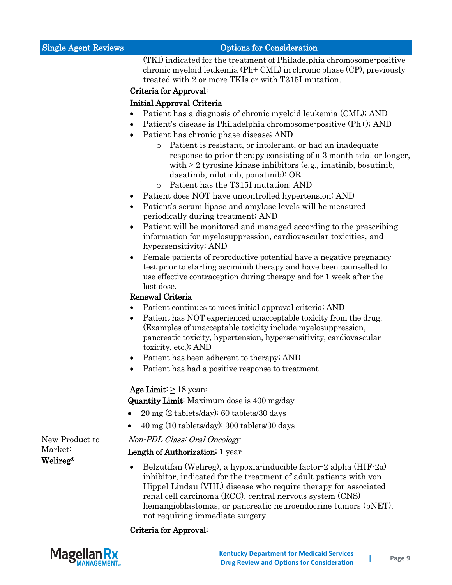| <b>Single Agent Reviews</b> | <b>Options for Consideration</b>                                                                                                                                                                                                                                                                                                                                                                                                                                                                                                                                                                                                                                                             |
|-----------------------------|----------------------------------------------------------------------------------------------------------------------------------------------------------------------------------------------------------------------------------------------------------------------------------------------------------------------------------------------------------------------------------------------------------------------------------------------------------------------------------------------------------------------------------------------------------------------------------------------------------------------------------------------------------------------------------------------|
|                             | (TKI) indicated for the treatment of Philadelphia chromosome-positive<br>chronic myeloid leukemia (Ph+ CML) in chronic phase (CP), previously<br>treated with 2 or more TKIs or with T315I mutation.                                                                                                                                                                                                                                                                                                                                                                                                                                                                                         |
|                             | Criteria for Approval:                                                                                                                                                                                                                                                                                                                                                                                                                                                                                                                                                                                                                                                                       |
|                             | Initial Approval Criteria                                                                                                                                                                                                                                                                                                                                                                                                                                                                                                                                                                                                                                                                    |
|                             | Patient has a diagnosis of chronic myeloid leukemia (CML); AND<br>٠<br>Patient's disease is Philadelphia chromosome-positive (Ph+); AND<br>$\bullet$<br>Patient has chronic phase disease; AND<br>Patient is resistant, or intolerant, or had an inadequate<br>$\circ$<br>response to prior therapy consisting of a 3 month trial or longer,<br>with $\geq 2$ tyrosine kinase inhibitors (e.g., imatinib, bosutinib,<br>dasatinib, nilotinib, ponatinib); OR<br>Patient has the T315I mutation; AND<br>$\circ$<br>Patient does NOT have uncontrolled hypertension; AND<br>٠<br>Patient's serum lipase and amylase levels will be measured<br>$\bullet$<br>periodically during treatment; AND |
|                             | Patient will be monitored and managed according to the prescribing<br>$\bullet$<br>information for myelosuppression, cardiovascular toxicities, and<br>hypersensitivity; AND                                                                                                                                                                                                                                                                                                                                                                                                                                                                                                                 |
|                             | Female patients of reproductive potential have a negative pregnancy<br>$\bullet$<br>test prior to starting asciminib therapy and have been counselled to<br>use effective contraception during therapy and for 1 week after the<br>last dose.                                                                                                                                                                                                                                                                                                                                                                                                                                                |
|                             | Renewal Criteria                                                                                                                                                                                                                                                                                                                                                                                                                                                                                                                                                                                                                                                                             |
|                             | Patient continues to meet initial approval criteria; AND<br>٠<br>Patient has NOT experienced unacceptable toxicity from the drug.<br>$\bullet$<br>(Examples of unacceptable toxicity include myelosuppression,<br>pancreatic toxicity, hypertension, hypersensitivity, cardiovascular<br>toxicity, etc.); AND<br>Patient has been adherent to therapy; AND<br>Patient has had a positive response to treatment                                                                                                                                                                                                                                                                               |
|                             | Age Limit: $\geq 18$ years                                                                                                                                                                                                                                                                                                                                                                                                                                                                                                                                                                                                                                                                   |
|                             | <b>Quantity Limit:</b> Maximum dose is 400 mg/day                                                                                                                                                                                                                                                                                                                                                                                                                                                                                                                                                                                                                                            |
|                             | $20 \text{ mg}$ (2 tablets/day): 60 tablets/30 days                                                                                                                                                                                                                                                                                                                                                                                                                                                                                                                                                                                                                                          |
|                             | 40 mg (10 tablets/day): 300 tablets/30 days<br>$\bullet$                                                                                                                                                                                                                                                                                                                                                                                                                                                                                                                                                                                                                                     |
| New Product to              | Non-PDL Class: Oral Oncology                                                                                                                                                                                                                                                                                                                                                                                                                                                                                                                                                                                                                                                                 |
| Market:<br>Welireg®         | Length of Authorization: 1 year                                                                                                                                                                                                                                                                                                                                                                                                                                                                                                                                                                                                                                                              |
|                             | Belzutifan (Welireg), a hypoxia-inducible factor-2 alpha (HIF-2 $\alpha$ )<br>$\bullet$<br>inhibitor, indicated for the treatment of adult patients with von<br>Hippel-Lindau (VHL) disease who require therapy for associated<br>renal cell carcinoma (RCC), central nervous system (CNS)<br>hemangioblastomas, or pancreatic neuroendocrine tumors (pNET),<br>not requiring immediate surgery.                                                                                                                                                                                                                                                                                             |
|                             | Criteria for Approval:                                                                                                                                                                                                                                                                                                                                                                                                                                                                                                                                                                                                                                                                       |

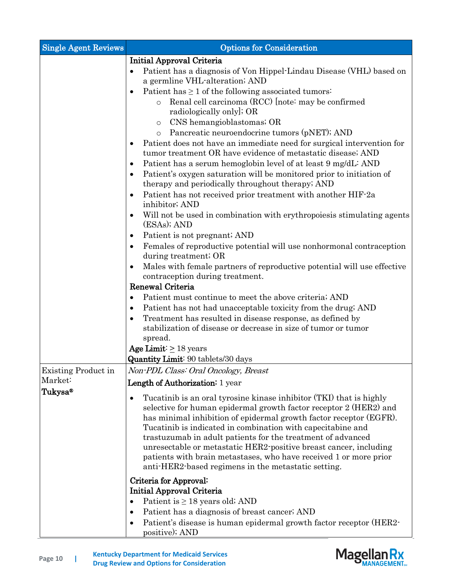| <b>Single Agent Reviews</b>    | <b>Options for Consideration</b>                                                                                                                                                                                                                                                                                                                                                                                                                                                                                                              |
|--------------------------------|-----------------------------------------------------------------------------------------------------------------------------------------------------------------------------------------------------------------------------------------------------------------------------------------------------------------------------------------------------------------------------------------------------------------------------------------------------------------------------------------------------------------------------------------------|
|                                | Initial Approval Criteria                                                                                                                                                                                                                                                                                                                                                                                                                                                                                                                     |
|                                | Patient has a diagnosis of Von Hippel-Lindau Disease (VHL) based on<br>a germline VHL-alteration; AND                                                                                                                                                                                                                                                                                                                                                                                                                                         |
|                                | Patient has $\geq 1$ of the following associated tumors:<br>$\bullet$                                                                                                                                                                                                                                                                                                                                                                                                                                                                         |
|                                | Renal cell carcinoma (RCC) [note: may be confirmed<br>$\circ$<br>radiologically only]; OR                                                                                                                                                                                                                                                                                                                                                                                                                                                     |
|                                | CNS hemangioblastomas; OR<br>$\circ$                                                                                                                                                                                                                                                                                                                                                                                                                                                                                                          |
|                                | Pancreatic neuroendocrine tumors (pNET); AND<br>$\circ$                                                                                                                                                                                                                                                                                                                                                                                                                                                                                       |
|                                | Patient does not have an immediate need for surgical intervention for                                                                                                                                                                                                                                                                                                                                                                                                                                                                         |
|                                | tumor treatment OR have evidence of metastatic disease; AND                                                                                                                                                                                                                                                                                                                                                                                                                                                                                   |
|                                | Patient has a serum hemoglobin level of at least 9 mg/dL: AND<br>٠                                                                                                                                                                                                                                                                                                                                                                                                                                                                            |
|                                | Patient's oxygen saturation will be monitored prior to initiation of<br>٠<br>therapy and periodically throughout therapy; AND                                                                                                                                                                                                                                                                                                                                                                                                                 |
|                                | Patient has not received prior treatment with another HIF-2a<br>٠<br>inhibitor; AND                                                                                                                                                                                                                                                                                                                                                                                                                                                           |
|                                | Will not be used in combination with erythropoiesis stimulating agents<br>$\bullet$<br>(ESAs); AND                                                                                                                                                                                                                                                                                                                                                                                                                                            |
|                                | Patient is not pregnant; AND<br>٠                                                                                                                                                                                                                                                                                                                                                                                                                                                                                                             |
|                                | Females of reproductive potential will use nonhormonal contraception<br>٠                                                                                                                                                                                                                                                                                                                                                                                                                                                                     |
|                                | during treatment; OR                                                                                                                                                                                                                                                                                                                                                                                                                                                                                                                          |
|                                | Males with female partners of reproductive potential will use effective                                                                                                                                                                                                                                                                                                                                                                                                                                                                       |
|                                | contraception during treatment.                                                                                                                                                                                                                                                                                                                                                                                                                                                                                                               |
|                                | Renewal Criteria                                                                                                                                                                                                                                                                                                                                                                                                                                                                                                                              |
|                                | Patient must continue to meet the above criteria; AND<br>$\bullet$                                                                                                                                                                                                                                                                                                                                                                                                                                                                            |
|                                | Patient has not had unacceptable toxicity from the drug; AND<br>$\bullet$                                                                                                                                                                                                                                                                                                                                                                                                                                                                     |
|                                | Treatment has resulted in disease response, as defined by<br>stabilization of disease or decrease in size of tumor or tumor                                                                                                                                                                                                                                                                                                                                                                                                                   |
|                                | spread.                                                                                                                                                                                                                                                                                                                                                                                                                                                                                                                                       |
|                                | Age Limit: $\geq$ 18 years<br><b>Quantity Limit:</b> 90 tablets/30 days                                                                                                                                                                                                                                                                                                                                                                                                                                                                       |
|                                |                                                                                                                                                                                                                                                                                                                                                                                                                                                                                                                                               |
| Existing Product in<br>Market: | Non-PDL Class: Oral Oncology, Breast<br>Length of Authorization: 1 year                                                                                                                                                                                                                                                                                                                                                                                                                                                                       |
| Tukysa®                        | Tucatinib is an oral tyrosine kinase inhibitor (TKI) that is highly<br>selective for human epidermal growth factor receptor 2 (HER2) and<br>has minimal inhibition of epidermal growth factor receptor (EGFR).<br>Tucatinib is indicated in combination with capecitabine and<br>trastuzumab in adult patients for the treatment of advanced<br>unresectable or metastatic HER2-positive breast cancer, including<br>patients with brain metastases, who have received 1 or more prior<br>anti-HER2-based regimens in the metastatic setting. |
|                                | Criteria for Approval:<br>Initial Approval Criteria<br>Patient is $\geq 18$ years old; AND<br>Patient has a diagnosis of breast cancer; AND<br>$\bullet$<br>Patient's disease is human epidermal growth factor receptor (HER2-<br>٠                                                                                                                                                                                                                                                                                                           |
|                                | positive); AND                                                                                                                                                                                                                                                                                                                                                                                                                                                                                                                                |



 $\overline{a}$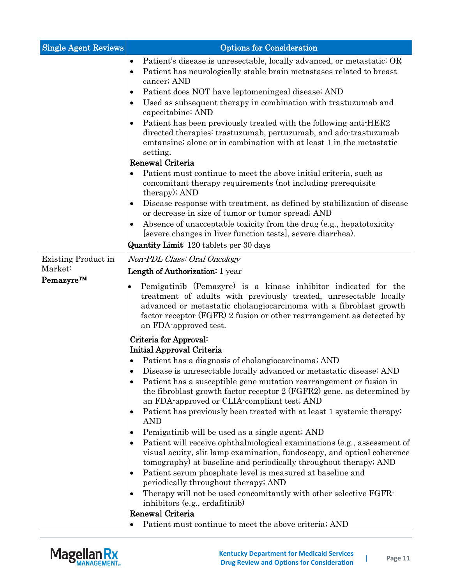| <b>Single Agent Reviews</b> | <b>Options for Consideration</b>                                                                                                                                                                                                                                                                                                                                                                                                                                                                                                                                                                                                                                                                                                                                                                                                                                                                                                                                                                                                                                                                                       |
|-----------------------------|------------------------------------------------------------------------------------------------------------------------------------------------------------------------------------------------------------------------------------------------------------------------------------------------------------------------------------------------------------------------------------------------------------------------------------------------------------------------------------------------------------------------------------------------------------------------------------------------------------------------------------------------------------------------------------------------------------------------------------------------------------------------------------------------------------------------------------------------------------------------------------------------------------------------------------------------------------------------------------------------------------------------------------------------------------------------------------------------------------------------|
|                             | Patient's disease is unresectable, locally advanced, or metastatic; OR<br>$\bullet$<br>Patient has neurologically stable brain metastases related to breast<br>$\bullet$<br>cancer; AND<br>Patient does NOT have leptomeningeal disease; AND<br>$\bullet$<br>Used as subsequent therapy in combination with trastuzumab and<br>$\bullet$<br>capecitabine; AND<br>Patient has been previously treated with the following anti-HER2<br>directed therapies: trastuzumab, pertuzumab, and ado-trastuzumab<br>emtansine; alone or in combination with at least 1 in the metastatic<br>setting.<br>Renewal Criteria<br>Patient must continue to meet the above initial criteria, such as<br>$\bullet$<br>concomitant therapy requirements (not including prerequisite<br>therapy); AND<br>Disease response with treatment, as defined by stabilization of disease<br>or decrease in size of tumor or tumor spread; AND<br>Absence of unacceptable toxicity from the drug (e.g., hepatotoxicity<br>$\bullet$<br>[severe changes in liver function tests], severe diarrhea).<br><b>Quantity Limit:</b> 120 tablets per 30 days |
| <b>Existing Product in</b>  | Non-PDL Class: Oral Oncology                                                                                                                                                                                                                                                                                                                                                                                                                                                                                                                                                                                                                                                                                                                                                                                                                                                                                                                                                                                                                                                                                           |
| Market:                     | Length of Authorization: 1 year                                                                                                                                                                                                                                                                                                                                                                                                                                                                                                                                                                                                                                                                                                                                                                                                                                                                                                                                                                                                                                                                                        |
| Pemazyre™                   | Pemigatinib (Pemazyre) is a kinase inhibitor indicated for the<br>$\bullet$<br>treatment of adults with previously treated, unresectable locally<br>advanced or metastatic cholangiocarcinoma with a fibroblast growth<br>factor receptor (FGFR) 2 fusion or other rearrangement as detected by<br>an FDA-approved test.                                                                                                                                                                                                                                                                                                                                                                                                                                                                                                                                                                                                                                                                                                                                                                                               |
|                             | Criteria for Approval:                                                                                                                                                                                                                                                                                                                                                                                                                                                                                                                                                                                                                                                                                                                                                                                                                                                                                                                                                                                                                                                                                                 |
|                             | <b>Initial Approval Criteria</b>                                                                                                                                                                                                                                                                                                                                                                                                                                                                                                                                                                                                                                                                                                                                                                                                                                                                                                                                                                                                                                                                                       |
|                             | Patient has a diagnosis of cholangiocarcinoma; AND                                                                                                                                                                                                                                                                                                                                                                                                                                                                                                                                                                                                                                                                                                                                                                                                                                                                                                                                                                                                                                                                     |
|                             | Disease is unresectable locally advanced or metastatic disease; AND<br>Patient has a susceptible gene mutation rearrangement or fusion in<br>$\bullet$<br>the fibroblast growth factor receptor 2 (FGFR2) gene, as determined by<br>an FDA-approved or CLIA-compliant test; AND                                                                                                                                                                                                                                                                                                                                                                                                                                                                                                                                                                                                                                                                                                                                                                                                                                        |
|                             | Patient has previously been treated with at least 1 systemic therapy;<br>$\bullet$<br><b>AND</b>                                                                                                                                                                                                                                                                                                                                                                                                                                                                                                                                                                                                                                                                                                                                                                                                                                                                                                                                                                                                                       |
|                             | Pemigatinib will be used as a single agent; AND<br>$\bullet$                                                                                                                                                                                                                                                                                                                                                                                                                                                                                                                                                                                                                                                                                                                                                                                                                                                                                                                                                                                                                                                           |
|                             | Patient will receive ophthalmological examinations (e.g., assessment of<br>$\bullet$<br>visual acuity, slit lamp examination, fundoscopy, and optical coherence<br>tomography) at baseline and periodically throughout therapy; AND                                                                                                                                                                                                                                                                                                                                                                                                                                                                                                                                                                                                                                                                                                                                                                                                                                                                                    |
|                             | Patient serum phosphate level is measured at baseline and<br>$\bullet$<br>periodically throughout therapy; AND                                                                                                                                                                                                                                                                                                                                                                                                                                                                                                                                                                                                                                                                                                                                                                                                                                                                                                                                                                                                         |
|                             | Therapy will not be used concomitantly with other selective FGFR-<br>$\bullet$<br>inhibitors (e.g., erdafitinib)                                                                                                                                                                                                                                                                                                                                                                                                                                                                                                                                                                                                                                                                                                                                                                                                                                                                                                                                                                                                       |
|                             | Renewal Criteria                                                                                                                                                                                                                                                                                                                                                                                                                                                                                                                                                                                                                                                                                                                                                                                                                                                                                                                                                                                                                                                                                                       |
|                             | Patient must continue to meet the above criteria; AND<br>$\bullet$                                                                                                                                                                                                                                                                                                                                                                                                                                                                                                                                                                                                                                                                                                                                                                                                                                                                                                                                                                                                                                                     |

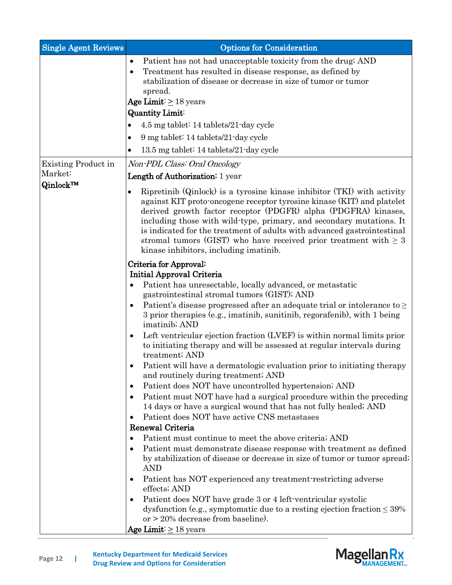| <b>Single Agent Reviews</b>    | <b>Options for Consideration</b>                                                                                                                                                                                                                                                                                                                                                                                                                                                                       |
|--------------------------------|--------------------------------------------------------------------------------------------------------------------------------------------------------------------------------------------------------------------------------------------------------------------------------------------------------------------------------------------------------------------------------------------------------------------------------------------------------------------------------------------------------|
|                                | Patient has not had unacceptable toxicity from the drug; AND<br>$\bullet$<br>Treatment has resulted in disease response, as defined by<br>$\bullet$<br>stabilization of disease or decrease in size of tumor or tumor<br>spread.<br>Age Limit: $\geq$ 18 years<br><b>Quantity Limit:</b>                                                                                                                                                                                                               |
|                                | 4.5 mg tablet: 14 tablets/21-day cycle<br>$\bullet$                                                                                                                                                                                                                                                                                                                                                                                                                                                    |
|                                | 9 mg tablet: 14 tablets/21-day cycle<br>$\bullet$                                                                                                                                                                                                                                                                                                                                                                                                                                                      |
|                                | 13.5 mg tablet: 14 tablets/21-day cycle<br>٠                                                                                                                                                                                                                                                                                                                                                                                                                                                           |
| Existing Product in<br>Market: | Non-PDL Class: Oral Oncology                                                                                                                                                                                                                                                                                                                                                                                                                                                                           |
| Qinlock™                       | Length of Authorization: 1 year                                                                                                                                                                                                                                                                                                                                                                                                                                                                        |
|                                | Ripretinib (Qinlock) is a tyrosine kinase inhibitor (TKI) with activity<br>$\bullet$<br>against KIT proto-oncogene receptor tyrosine kinase (KIT) and platelet<br>derived growth factor receptor (PDGFR) alpha (PDGFRA) kinases,<br>including those with wild-type, primary, and secondary mutations. It<br>is indicated for the treatment of adults with advanced gastrointestinal<br>stromal tumors (GIST) who have received prior treatment with $\geq 3$<br>kinase inhibitors, including imatinib. |
|                                | Criteria for Approval:                                                                                                                                                                                                                                                                                                                                                                                                                                                                                 |
|                                | Initial Approval Criteria                                                                                                                                                                                                                                                                                                                                                                                                                                                                              |
|                                | Patient has unresectable, locally advanced, or metastatic<br>$\bullet$<br>gastrointestinal stromal tumors (GIST); AND                                                                                                                                                                                                                                                                                                                                                                                  |
|                                | Patient's disease progressed after an adequate trial or intolerance to $\geq$<br>3 prior therapies (e.g., imatinib, sunitinib, regorafenib), with 1 being<br>imatinib; AND                                                                                                                                                                                                                                                                                                                             |
|                                | Left ventricular ejection fraction (LVEF) is within normal limits prior<br>$\bullet$<br>to initiating therapy and will be assessed at regular intervals during<br>treatment; AND                                                                                                                                                                                                                                                                                                                       |
|                                | Patient will have a dermatologic evaluation prior to initiating therapy<br>$\bullet$<br>and routinely during treatment; AND                                                                                                                                                                                                                                                                                                                                                                            |
|                                | Patient does NOT have uncontrolled hypertension; AND<br>$\bullet$                                                                                                                                                                                                                                                                                                                                                                                                                                      |
|                                | Patient must NOT have had a surgical procedure within the preceding<br>$\bullet$<br>14 days or have a surgical wound that has not fully healed; AND                                                                                                                                                                                                                                                                                                                                                    |
|                                | Patient does NOT have active CNS metastases<br>$\bullet$                                                                                                                                                                                                                                                                                                                                                                                                                                               |
|                                | Renewal Criteria                                                                                                                                                                                                                                                                                                                                                                                                                                                                                       |
|                                | Patient must continue to meet the above criteria; AND<br>Patient must demonstrate disease response with treatment as defined<br>$\bullet$                                                                                                                                                                                                                                                                                                                                                              |
|                                | by stabilization of disease or decrease in size of tumor or tumor spread;<br><b>AND</b>                                                                                                                                                                                                                                                                                                                                                                                                                |
|                                | Patient has NOT experienced any treatment restricting adverse<br>$\bullet$<br>effects; AND                                                                                                                                                                                                                                                                                                                                                                                                             |
|                                | Patient does NOT have grade 3 or 4 left-ventricular systolic<br>dysfunction (e.g., symptomatic due to a resting ejection fraction $\leq 39\%$<br>or $>$ 20% decrease from baseline).<br>Age Limit: $\geq 18$ years                                                                                                                                                                                                                                                                                     |

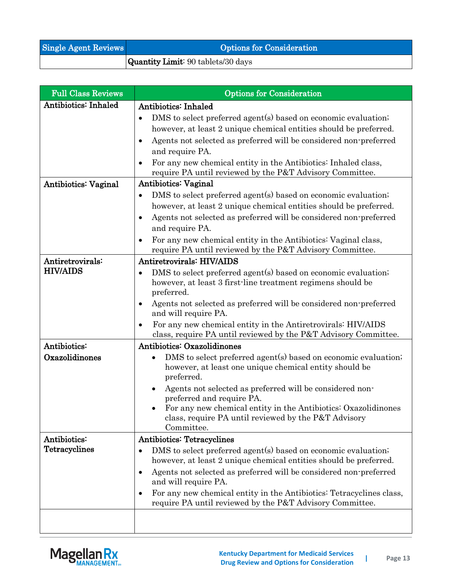| Single Agent Reviews | <b>Options for Consideration</b>          |  |
|----------------------|-------------------------------------------|--|
|                      | <b>Quantity Limit:</b> 90 tablets/30 days |  |

| <b>Full Class Reviews</b>   | <b>Options for Consideration</b>                                                                                                                 |  |  |  |
|-----------------------------|--------------------------------------------------------------------------------------------------------------------------------------------------|--|--|--|
| <b>Antibiotics: Inhaled</b> | Antibiotics: Inhaled                                                                                                                             |  |  |  |
|                             | DMS to select preferred agent(s) based on economic evaluation.<br>$\bullet$                                                                      |  |  |  |
|                             | however, at least 2 unique chemical entities should be preferred.                                                                                |  |  |  |
|                             | Agents not selected as preferred will be considered non-preferred<br>$\bullet$                                                                   |  |  |  |
|                             | and require PA.                                                                                                                                  |  |  |  |
|                             | For any new chemical entity in the Antibiotics: Inhaled class,<br>$\bullet$<br>require PA until reviewed by the P&T Advisory Committee.          |  |  |  |
| Antibiotics: Vaginal        | <b>Antibiotics: Vaginal</b>                                                                                                                      |  |  |  |
|                             | DMS to select preferred agent(s) based on economic evaluation;<br>٠                                                                              |  |  |  |
|                             | however, at least 2 unique chemical entities should be preferred.                                                                                |  |  |  |
|                             | Agents not selected as preferred will be considered non-preferred<br>٠<br>and require PA.                                                        |  |  |  |
|                             | For any new chemical entity in the Antibiotics: Vaginal class,<br>$\bullet$<br>require PA until reviewed by the P&T Advisory Committee.          |  |  |  |
| Antiretrovirals:            | <b>Antiretrovirals: HIV/AIDS</b>                                                                                                                 |  |  |  |
| <b>HIV/AIDS</b>             | DMS to select preferred agent(s) based on economic evaluation;<br>٠<br>however, at least 3 first-line treatment regimens should be<br>preferred. |  |  |  |
|                             | Agents not selected as preferred will be considered non-preferred<br>٠<br>and will require PA.                                                   |  |  |  |
|                             | For any new chemical entity in the Antiretrovirals: HIV/AIDS<br>٠<br>class, require PA until reviewed by the P&T Advisory Committee.             |  |  |  |
| Antibiotics:                | <b>Antibiotics: Oxazolidinones</b>                                                                                                               |  |  |  |
| Oxazolidinones              | DMS to select preferred agent(s) based on economic evaluation;<br>however, at least one unique chemical entity should be<br>preferred.           |  |  |  |
|                             | Agents not selected as preferred will be considered non-<br>preferred and require PA.                                                            |  |  |  |
|                             | For any new chemical entity in the Antibiotics: Oxazolidinones<br>class, require PA until reviewed by the P&T Advisory<br>Committee.             |  |  |  |
| Antibiotics:                | <b>Antibiotics: Tetracyclines</b>                                                                                                                |  |  |  |
| Tetracyclines               | DMS to select preferred agent(s) based on economic evaluation;<br>$\bullet$                                                                      |  |  |  |
|                             | however, at least 2 unique chemical entities should be preferred.                                                                                |  |  |  |
|                             | Agents not selected as preferred will be considered non-preferred<br>٠<br>and will require PA.                                                   |  |  |  |
|                             | For any new chemical entity in the Antibiotics: Tetracyclines class,<br>٠<br>require PA until reviewed by the P&T Advisory Committee.            |  |  |  |
|                             |                                                                                                                                                  |  |  |  |